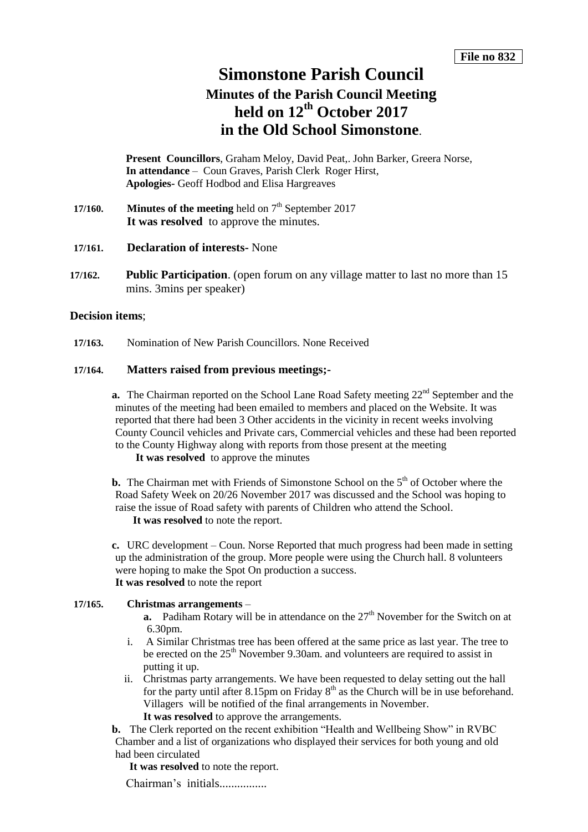## **Simonstone Parish Council**

# **Minutes of the Parish Council Meeting held on 12th October 2017 in the Old School Simonstone**.

**Present Councillors**, Graham Meloy, David Peat,. John Barker, Greera Norse, **In attendance** – Coun Graves, Parish Clerk Roger Hirst, **Apologies-** Geoff Hodbod and Elisa Hargreaves

**17/160. Minutes of the meeting** held on  $7<sup>th</sup>$  September 2017 It was resolved to approve the minutes.

#### **17/161. Declaration of interests-** None

**17/162. Public Participation**. (open forum on any village matter to last no more than 15 mins. 3mins per speaker)

#### **Decision items**;

**17/163.** Nomination of New Parish Councillors. None Received

## **17/164. Matters raised from previous meetings;-**

**a.** The Chairman reported on the School Lane Road Safety meeting 22<sup>nd</sup> September and the minutes of the meeting had been emailed to members and placed on the Website. It was reported that there had been 3 Other accidents in the vicinity in recent weeks involving County Council vehicles and Private cars, Commercial vehicles and these had been reported to the County Highway along with reports from those present at the meeting

**It was resolved** to approve the minutes

**b.** The Chairman met with Friends of Simonstone School on the  $5<sup>th</sup>$  of October where the Road Safety Week on 20/26 November 2017 was discussed and the School was hoping to raise the issue of Road safety with parents of Children who attend the School.

**It was resolved** to note the report.

**c.** URC development – Coun. Norse Reported that much progress had been made in setting up the administration of the group. More people were using the Church hall. 8 volunteers were hoping to make the Spot On production a success. **It was resolved** to note the report

#### **17/165. Christmas arrangements** –

- **a.** Padiham Rotary will be in attendance on the 27<sup>th</sup> November for the Switch on at 6.30pm.
- i. A Similar Christmas tree has been offered at the same price as last year. The tree to be erected on the 25<sup>th</sup> November 9.30am. and volunteers are required to assist in putting it up.
- ii. Christmas party arrangements. We have been requested to delay setting out the hall for the party until after 8.15pm on Friday  $8<sup>th</sup>$  as the Church will be in use beforehand. Villagers will be notified of the final arrangements in November. **It was resolved** to approve the arrangements.

**b.** The Clerk reported on the recent exhibition "Health and Wellbeing Show" in RVBC Chamber and a list of organizations who displayed their services for both young and old had been circulated

**It was resolved** to note the report.

Chairman's initials................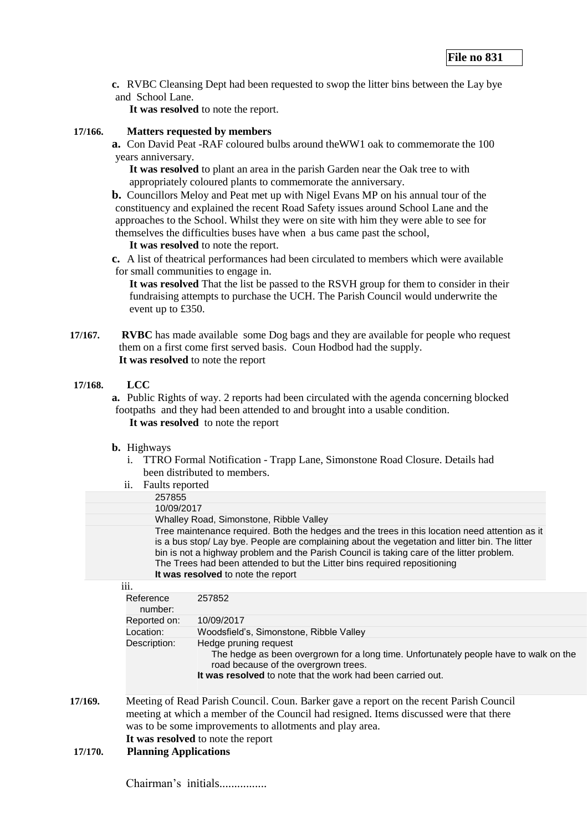**c.** RVBC Cleansing Dept had been requested to swop the litter bins between the Lay bye and School Lane.

**It was resolved** to note the report.

#### **17/166. Matters requested by members**

**a.** Con David Peat -RAF coloured bulbs around theWW1 oak to commemorate the 100 years anniversary.

**It was resolved** to plant an area in the parish Garden near the Oak tree to with appropriately coloured plants to commemorate the anniversary.

**b.** Councillors Meloy and Peat met up with Nigel Evans MP on his annual tour of the constituency and explained the recent Road Safety issues around School Lane and the approaches to the School. Whilst they were on site with him they were able to see for themselves the difficulties buses have when a bus came past the school,

**It was resolved** to note the report.

**c.** A list of theatrical performances had been circulated to members which were available for small communities to engage in.

**It was resolved** That the list be passed to the RSVH group for them to consider in their fundraising attempts to purchase the UCH. The Parish Council would underwrite the event up to £350.

**17/167. RVBC** has made available some Dog bags and they are available for people who request them on a first come first served basis. Coun Hodbod had the supply. **It was resolved** to note the report

#### **17/168. LCC**

**a.** Public Rights of way. 2 reports had been circulated with the agenda concerning blocked footpaths and they had been attended to and brought into a usable condition. **It was resolved** to note the report

#### **b.** Highways

i. TTRO Formal Notification - Trapp Lane, Simonstone Road Closure. Details had been distributed to members.

|         | ii.<br>Faults reported                                                                                                                                                                                                                                                                                                                                                                                          |                                                                                                                                                                                                                       |  |  |  |
|---------|-----------------------------------------------------------------------------------------------------------------------------------------------------------------------------------------------------------------------------------------------------------------------------------------------------------------------------------------------------------------------------------------------------------------|-----------------------------------------------------------------------------------------------------------------------------------------------------------------------------------------------------------------------|--|--|--|
|         | 257855                                                                                                                                                                                                                                                                                                                                                                                                          |                                                                                                                                                                                                                       |  |  |  |
|         | 10/09/2017                                                                                                                                                                                                                                                                                                                                                                                                      |                                                                                                                                                                                                                       |  |  |  |
|         | Whalley Road, Simonstone, Ribble Valley                                                                                                                                                                                                                                                                                                                                                                         |                                                                                                                                                                                                                       |  |  |  |
|         | Tree maintenance required. Both the hedges and the trees in this location need attention as it<br>is a bus stop/Lay bye. People are complaining about the vegetation and litter bin. The litter<br>bin is not a highway problem and the Parish Council is taking care of the litter problem.<br>The Trees had been attended to but the Litter bins required repositioning<br>It was resolved to note the report |                                                                                                                                                                                                                       |  |  |  |
|         | iii.                                                                                                                                                                                                                                                                                                                                                                                                            |                                                                                                                                                                                                                       |  |  |  |
|         | Reference<br>number:                                                                                                                                                                                                                                                                                                                                                                                            | 257852                                                                                                                                                                                                                |  |  |  |
|         | Reported on:                                                                                                                                                                                                                                                                                                                                                                                                    | 10/09/2017                                                                                                                                                                                                            |  |  |  |
|         | Location:                                                                                                                                                                                                                                                                                                                                                                                                       | Woodsfield's, Simonstone, Ribble Valley                                                                                                                                                                               |  |  |  |
|         | Description:                                                                                                                                                                                                                                                                                                                                                                                                    | Hedge pruning request<br>The hedge as been overgrown for a long time. Unfortunately people have to walk on the<br>road because of the overgrown trees.<br>It was resolved to note that the work had been carried out. |  |  |  |
| 17/169. | Meeting of Read Parish Council. Coun. Barker gave a report on the recent Parish Council<br>meeting at which a member of the Council had resigned. Items discussed were that there<br>was to be some improvements to allotments and play area.<br>It was resolved to note the report                                                                                                                             |                                                                                                                                                                                                                       |  |  |  |
| 17/170. | <b>Planning Applications</b>                                                                                                                                                                                                                                                                                                                                                                                    |                                                                                                                                                                                                                       |  |  |  |

Chairman's initials................